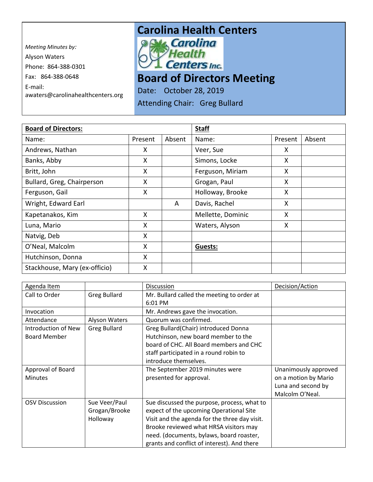*Meeting Minutes by:*  Alyson Waters Phone: 864-388-0301 Fax: 864-388-0648 E-mail: awaters@carolinahealthcenters.org

## **Carolina Health Centers**<br>**Political Carolina**



**Board of Directors Meeting** 

Date: October 28, 2019

Attending Chair: Greg Bullard

| <b>Board of Directors:</b>    |         |        | <b>Staff</b>      |         |        |
|-------------------------------|---------|--------|-------------------|---------|--------|
| Name:                         | Present | Absent | Name:             | Present | Absent |
| Andrews, Nathan               | X       |        | Veer, Sue         | X       |        |
| Banks, Abby                   | X       |        | Simons, Locke     | X       |        |
| Britt, John                   | X       |        | Ferguson, Miriam  | X       |        |
| Bullard, Greg, Chairperson    | X       |        | Grogan, Paul      | X       |        |
| Ferguson, Gail                | X       |        | Holloway, Brooke  | X       |        |
| Wright, Edward Earl           |         | A      | Davis, Rachel     | X       |        |
| Kapetanakos, Kim              | X       |        | Mellette, Dominic | X       |        |
| Luna, Mario                   | X       |        | Waters, Alyson    | X       |        |
| Natvig, Deb                   | X       |        |                   |         |        |
| O'Neal, Malcolm               | X       |        | Guests:           |         |        |
| Hutchinson, Donna             | X       |        |                   |         |        |
| Stackhouse, Mary (ex-officio) | X       |        |                   |         |        |

| Agenda Item                                |                                            | <b>Discussion</b>                                                                                                                                                                                                                                                            | Decision/Action                                                                       |
|--------------------------------------------|--------------------------------------------|------------------------------------------------------------------------------------------------------------------------------------------------------------------------------------------------------------------------------------------------------------------------------|---------------------------------------------------------------------------------------|
| Call to Order                              | <b>Greg Bullard</b>                        | Mr. Bullard called the meeting to order at                                                                                                                                                                                                                                   |                                                                                       |
|                                            |                                            | 6:01 PM                                                                                                                                                                                                                                                                      |                                                                                       |
| Invocation                                 |                                            | Mr. Andrews gave the invocation.                                                                                                                                                                                                                                             |                                                                                       |
| Attendance                                 | Alyson Waters                              | Quorum was confirmed.                                                                                                                                                                                                                                                        |                                                                                       |
| Introduction of New<br><b>Board Member</b> | <b>Greg Bullard</b>                        | Greg Bullard(Chair) introduced Donna<br>Hutchinson, new board member to the<br>board of CHC. All Board members and CHC<br>staff participated in a round robin to<br>introduce themselves.                                                                                    |                                                                                       |
| Approval of Board<br><b>Minutes</b>        |                                            | The September 2019 minutes were<br>presented for approval.                                                                                                                                                                                                                   | Unanimously approved<br>on a motion by Mario<br>Luna and second by<br>Malcolm O'Neal. |
| <b>OSV Discussion</b>                      | Sue Veer/Paul<br>Grogan/Brooke<br>Holloway | Sue discussed the purpose, process, what to<br>expect of the upcoming Operational Site<br>Visit and the agenda for the three day visit.<br>Brooke reviewed what HRSA visitors may<br>need. (documents, bylaws, board roaster,<br>grants and conflict of interest). And there |                                                                                       |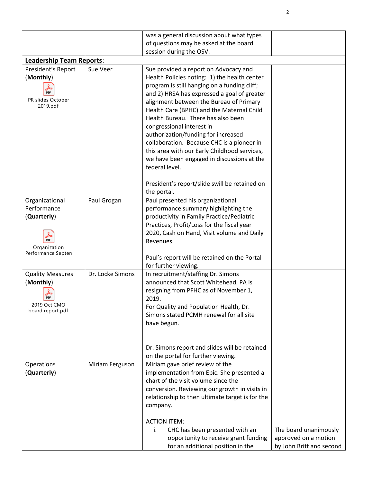|                                    |                  | was a general discussion about what types                                                        |                          |  |
|------------------------------------|------------------|--------------------------------------------------------------------------------------------------|--------------------------|--|
|                                    |                  | of questions may be asked at the board<br>session during the OSV.                                |                          |  |
| <b>Leadership Team Reports:</b>    |                  |                                                                                                  |                          |  |
| President's Report                 | Sue Veer         | Sue provided a report on Advocacy and                                                            |                          |  |
| (Monthly)                          |                  | Health Policies noting: 1) the health center                                                     |                          |  |
|                                    |                  | program is still hanging on a funding cliff;                                                     |                          |  |
| <b>PDF</b>                         |                  | and 2) HRSA has expressed a goal of greater                                                      |                          |  |
| PR slides October<br>2019.pdf      |                  | alignment between the Bureau of Primary                                                          |                          |  |
|                                    |                  | Health Care (BPHC) and the Maternal Child                                                        |                          |  |
|                                    |                  | Health Bureau. There has also been                                                               |                          |  |
|                                    |                  | congressional interest in                                                                        |                          |  |
|                                    |                  | authorization/funding for increased<br>collaboration. Because CHC is a pioneer in                |                          |  |
|                                    |                  | this area with our Early Childhood services,                                                     |                          |  |
|                                    |                  | we have been engaged in discussions at the                                                       |                          |  |
|                                    |                  | federal level.                                                                                   |                          |  |
|                                    |                  |                                                                                                  |                          |  |
|                                    |                  | President's report/slide swill be retained on                                                    |                          |  |
| Organizational                     | Paul Grogan      | the portal.<br>Paul presented his organizational                                                 |                          |  |
| Performance                        |                  | performance summary highlighting the                                                             |                          |  |
| (Quarterly)                        |                  | productivity in Family Practice/Pediatric                                                        |                          |  |
|                                    |                  | Practices, Profit/Loss for the fiscal year                                                       |                          |  |
|                                    |                  | 2020, Cash on Hand, Visit volume and Daily                                                       |                          |  |
| PDF                                |                  | Revenues.                                                                                        |                          |  |
| Organization<br>Performance Septen |                  |                                                                                                  |                          |  |
|                                    |                  | Paul's report will be retained on the Portal<br>for further viewing.                             |                          |  |
| <b>Quality Measures</b>            | Dr. Locke Simons | In recruitment/staffing Dr. Simons                                                               |                          |  |
| (Monthly)                          |                  | announced that Scott Whitehead, PA is                                                            |                          |  |
|                                    |                  | resigning from PFHC as of November 1,                                                            |                          |  |
| PDF                                |                  | 2019.                                                                                            |                          |  |
| 2019 Oct CMO<br>board report.pdf   |                  | For Quality and Population Health, Dr.                                                           |                          |  |
|                                    |                  | Simons stated PCMH renewal for all site                                                          |                          |  |
|                                    |                  | have begun.                                                                                      |                          |  |
|                                    |                  |                                                                                                  |                          |  |
|                                    |                  | Dr. Simons report and slides will be retained                                                    |                          |  |
|                                    |                  | on the portal for further viewing.                                                               |                          |  |
| Operations                         | Miriam Ferguson  | Miriam gave brief review of the                                                                  |                          |  |
| (Quarterly)                        |                  | implementation from Epic. She presented a                                                        |                          |  |
|                                    |                  | chart of the visit volume since the                                                              |                          |  |
|                                    |                  | conversion. Reviewing our growth in visits in<br>relationship to then ultimate target is for the |                          |  |
|                                    |                  | company.                                                                                         |                          |  |
|                                    |                  |                                                                                                  |                          |  |
|                                    |                  | <b>ACTION ITEM:</b>                                                                              |                          |  |
|                                    |                  | CHC has been presented with an<br>i.                                                             | The board unanimously    |  |
|                                    |                  | opportunity to receive grant funding                                                             | approved on a motion     |  |
|                                    |                  | for an additional position in the                                                                | by John Britt and second |  |

2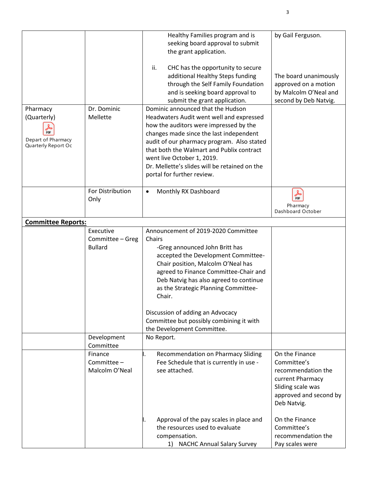| Pharmacy<br>(Quarterly)<br>PDF<br>Depart of Pharmacy<br>Quarterly Report Oc | Dr. Dominic<br>Mellette                         | Healthy Families program and is<br>seeking board approval to submit<br>the grant application.<br>ii.<br>CHC has the opportunity to secure<br>additional Healthy Steps funding<br>through the Self Family Foundation<br>and is seeking board approval to<br>submit the grant application.<br>Dominic announced that the Hudson<br>Headwaters Audit went well and expressed<br>how the auditors were impressed by the<br>changes made since the last independent<br>audit of our pharmacy program. Also stated<br>that both the Walmart and Publix contract<br>went live October 1, 2019.<br>Dr. Mellette's slides will be retained on the | by Gail Ferguson.<br>The board unanimously<br>approved on a motion<br>by Malcolm O'Neal and<br>second by Deb Natvig.                  |
|-----------------------------------------------------------------------------|-------------------------------------------------|------------------------------------------------------------------------------------------------------------------------------------------------------------------------------------------------------------------------------------------------------------------------------------------------------------------------------------------------------------------------------------------------------------------------------------------------------------------------------------------------------------------------------------------------------------------------------------------------------------------------------------------|---------------------------------------------------------------------------------------------------------------------------------------|
|                                                                             |                                                 | portal for further review.                                                                                                                                                                                                                                                                                                                                                                                                                                                                                                                                                                                                               |                                                                                                                                       |
|                                                                             | For Distribution<br>Only                        | Monthly RX Dashboard<br>$\bullet$                                                                                                                                                                                                                                                                                                                                                                                                                                                                                                                                                                                                        | 晶<br>Pharmacy<br>Dashboard October                                                                                                    |
| <b>Committee Reports:</b>                                                   |                                                 |                                                                                                                                                                                                                                                                                                                                                                                                                                                                                                                                                                                                                                          |                                                                                                                                       |
|                                                                             | Executive<br>Committee - Greg<br><b>Bullard</b> | Announcement of 2019-2020 Committee<br>Chairs<br>-Greg announced John Britt has<br>accepted the Development Committee-<br>Chair position, Malcolm O'Neal has<br>agreed to Finance Committee-Chair and<br>Deb Natvig has also agreed to continue<br>as the Strategic Planning Committee-<br>Chair.<br>Discussion of adding an Advocacy<br>Committee but possibly combining it with<br>the Development Committee.                                                                                                                                                                                                                          |                                                                                                                                       |
|                                                                             | Development<br>Committee                        | No Report.                                                                                                                                                                                                                                                                                                                                                                                                                                                                                                                                                                                                                               |                                                                                                                                       |
|                                                                             | Finance<br>Committee -<br>Malcolm O'Neal        | Recommendation on Pharmacy Sliding<br>Fee Schedule that is currently in use -<br>see attached.                                                                                                                                                                                                                                                                                                                                                                                                                                                                                                                                           | On the Finance<br>Committee's<br>recommendation the<br>current Pharmacy<br>Sliding scale was<br>approved and second by<br>Deb Natvig. |
|                                                                             |                                                 | Approval of the pay scales in place and<br>the resources used to evaluate<br>compensation.<br><b>NACHC Annual Salary Survey</b><br>1)                                                                                                                                                                                                                                                                                                                                                                                                                                                                                                    | On the Finance<br>Committee's<br>recommendation the<br>Pay scales were                                                                |